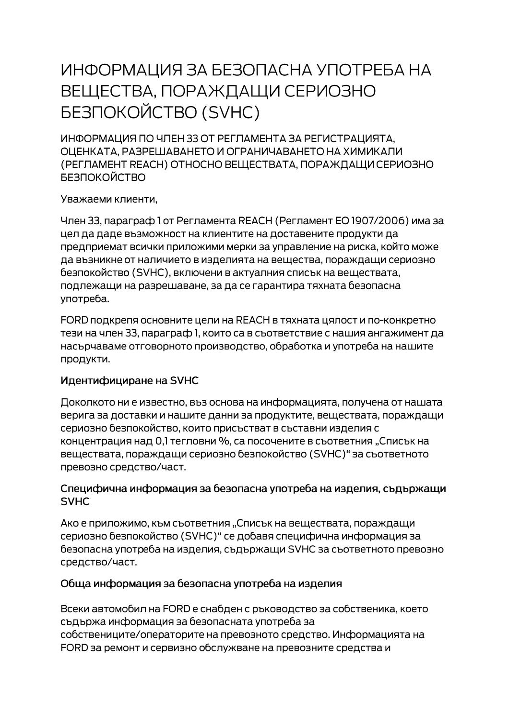# ИНФОРМАЦИЯ ЗА БЕЗОПАСНА УПОТРЕБА НА ВЕЩЕСТВА, ПОРАЖДАЩИ СЕРИОЗНО **БЕЗПОКОЙСТВО (SVHC)**

ИНФОРМАЦИЯ ПО ЧЛЕН 33 ОТ РЕГЛАМЕНТА ЗА РЕГИСТРАЦИЯТА. ОЦЕНКАТА, РАЗРЕШАВАНЕТО И ОГРАНИЧАВАНЕТО НА ХИМИКАЛИ (РЕГЛАМЕНТ REACH) ОТНОСНО ВЕЩЕСТВАТА, ПОРАЖДАЩИ СЕРИОЗНО **БЕЗПОКОЙСТВО** 

Уважаеми клиенти,

Член 33, параграф 1 от Регламента REACH (Регламент ЕО 1907/2006) има за цел да даде възможност на клиентите на доставените продукти да предприемат всички приложими мерки за управление на риска, който може да възникне от наличието в изделията на вещества, пораждащи сериозно безпокойство (SVHC), включени в актуалния списък на веществата, подлежащи на разрешаване, за да се гарантира тяхната безопасна употреба.

FORD подкрепя основните цели на REACH в тяхната цялост и по-конкретно тези на член 33, параграф 1, които са в съответствие с нашия ангажимент да насърчаваме отговорното производство, обработка и употреба на нашите продукти.

## Идентифициране на SVHC

Доколкото ни е известно, въз основа на информацията, получена от нашата верига за доставки и нашите данни за продуктите, веществата, пораждащи сериозно безпокойство, които присъстват в съставни изделия с концентрация над 0,1 тегловни %, са посочените в съответния "Списък на веществата, пораждащи сериозно безпокойство (SVHC)" за съответното превозно средство/част.

#### Специфична информация за безопасна употреба на изделия, съдържащи **SVHC**

Ако е приложимо, към съответния "Списък на веществата, пораждащи сериозно безпокойство (SVHC)" се добавя специфична информация за безопасна употреба на изделия, съдържащи SVHC за съответното превозно средство/част.

## Обща информация за безопасна употреба на изделия

Всеки автомобил на FORD е снабден с ръководство за собственика, което съдържа информация за безопасната употреба за собствениците/операторите на превозното средство. Информацията на FORD за ремонт и сервизно обслужване на превозните средства и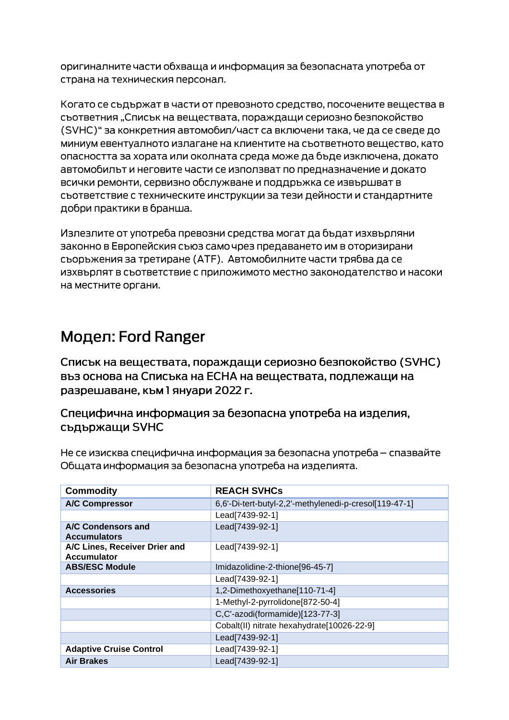оригиналните части обхваща и информация за безопасната употреба от страна на техническия персонал.

Когато се съдържат в части от превозното средство, посочените вещества в сьответния "Списък на вешествата, пораждащи сериозно безпокойство (SVHC)" за конкретния автомобил/част са включени така, че да се сведе до миниум евентуалното излагане на клиентите на съответното вещество, като опасността за хората или околната среда може да бъде изключена, докато автомобилът и неговите части се използват по предназначение и докато всички ремонти, сервизно обслужване и поддръжка се извършват в съответствие с техническите инструкции за тези дейности и стандартните добри практики в бранша.

Излезлите от употреба превозни средства могат да бъдат изхвърляни законно в Европейския съюз само чрез предаването им в оторизирани сьоръжения за третиране (АТЕ). Автомобилните части трябва да се изхвърлят в съответствие с приложимото местно законодателство и насоки на местните органи.

# Модел: Ford Ranger

Списък на веществата, пораждащи сериозно безпокойство (SVHC) въз основа на Списъка на ЕСНА на веществата, подлежащи на разрешаване, към 1 януари 2022 г.

Специфична информация за безопасна употреба на изделия, съдържащи SVHC

Не се изисква специфична информация за безопасна употреба – спазвайте Общата информация за безопасна употреба на изделията.

| <b>Commodity</b>                                    | <b>REACH SVHCs</b>                                     |
|-----------------------------------------------------|--------------------------------------------------------|
| <b>A/C Compressor</b>                               | 6,6'-Di-tert-butyl-2,2'-methylenedi-p-cresol[119-47-1] |
|                                                     | Lead[7439-92-1]                                        |
| A/C Condensors and<br><b>Accumulators</b>           | Lead[7439-92-1]                                        |
| A/C Lines, Receiver Drier and<br><b>Accumulator</b> | Lead[7439-92-1]                                        |
| <b>ABS/ESC Module</b>                               | Imidazolidine-2-thione[96-45-7]                        |
|                                                     | Lead[7439-92-1]                                        |
| <b>Accessories</b>                                  | 1,2-Dimethoxyethane[110-71-4]                          |
|                                                     | 1-Methyl-2-pyrrolidone[872-50-4]                       |
|                                                     | C,C'-azodi(formamide)[123-77-3]                        |
|                                                     | Cobalt(II) nitrate hexahydrate[10026-22-9]             |
|                                                     | Lead[7439-92-1]                                        |
| <b>Adaptive Cruise Control</b>                      | Lead[7439-92-1]                                        |
| <b>Air Brakes</b>                                   | Lead[7439-92-1]                                        |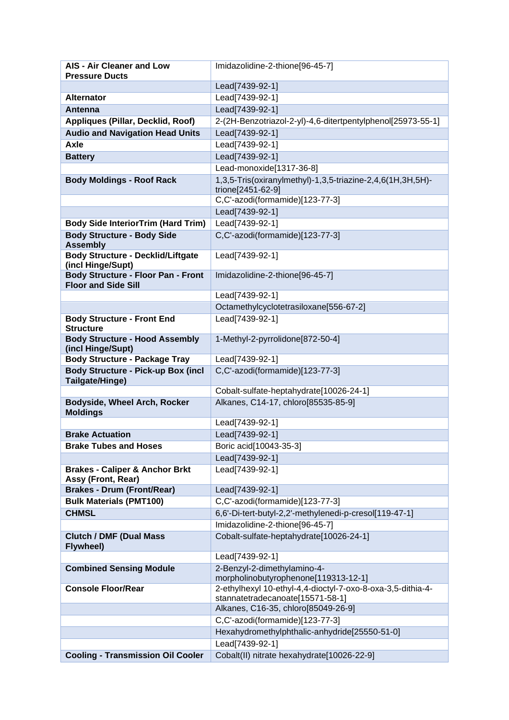| <b>Pressure Ducts</b><br>Lead[7439-92-1]<br><b>Alternator</b><br>Lead[7439-92-1]<br>Lead[7439-92-1]<br><b>Antenna</b><br>2-(2H-Benzotriazol-2-yl)-4,6-ditertpentylphenol[25973-55-1]<br>Appliques (Pillar, Decklid, Roof)<br><b>Audio and Navigation Head Units</b><br>Lead[7439-92-1]<br>Lead[7439-92-1]<br>Axle<br>Lead[7439-92-1]<br><b>Battery</b><br>Lead-monoxide[1317-36-8]<br>1,3,5-Tris(oxiranylmethyl)-1,3,5-triazine-2,4,6(1H,3H,5H)-<br><b>Body Moldings - Roof Rack</b><br>trione[2451-62-9]<br>C,C'-azodi(formamide)[123-77-3]<br>Lead[7439-92-1]<br><b>Body Side InteriorTrim (Hard Trim)</b><br>Lead[7439-92-1]<br>C,C'-azodi(formamide)[123-77-3]<br><b>Body Structure - Body Side</b><br><b>Assembly</b><br><b>Body Structure - Decklid/Liftgate</b><br>Lead[7439-92-1]<br>(incl Hinge/Supt)<br><b>Body Structure - Floor Pan - Front</b><br>Imidazolidine-2-thione[96-45-7]<br><b>Floor and Side Sill</b><br>Lead[7439-92-1]<br>Octamethylcyclotetrasiloxane[556-67-2]<br><b>Body Structure - Front End</b><br>Lead[7439-92-1]<br><b>Structure</b><br><b>Body Structure - Hood Assembly</b><br>1-Methyl-2-pyrrolidone[872-50-4]<br>(incl Hinge/Supt)<br><b>Body Structure - Package Tray</b><br>Lead[7439-92-1] |
|------------------------------------------------------------------------------------------------------------------------------------------------------------------------------------------------------------------------------------------------------------------------------------------------------------------------------------------------------------------------------------------------------------------------------------------------------------------------------------------------------------------------------------------------------------------------------------------------------------------------------------------------------------------------------------------------------------------------------------------------------------------------------------------------------------------------------------------------------------------------------------------------------------------------------------------------------------------------------------------------------------------------------------------------------------------------------------------------------------------------------------------------------------------------------------------------------------------------------------|
|                                                                                                                                                                                                                                                                                                                                                                                                                                                                                                                                                                                                                                                                                                                                                                                                                                                                                                                                                                                                                                                                                                                                                                                                                                    |
|                                                                                                                                                                                                                                                                                                                                                                                                                                                                                                                                                                                                                                                                                                                                                                                                                                                                                                                                                                                                                                                                                                                                                                                                                                    |
|                                                                                                                                                                                                                                                                                                                                                                                                                                                                                                                                                                                                                                                                                                                                                                                                                                                                                                                                                                                                                                                                                                                                                                                                                                    |
|                                                                                                                                                                                                                                                                                                                                                                                                                                                                                                                                                                                                                                                                                                                                                                                                                                                                                                                                                                                                                                                                                                                                                                                                                                    |
|                                                                                                                                                                                                                                                                                                                                                                                                                                                                                                                                                                                                                                                                                                                                                                                                                                                                                                                                                                                                                                                                                                                                                                                                                                    |
|                                                                                                                                                                                                                                                                                                                                                                                                                                                                                                                                                                                                                                                                                                                                                                                                                                                                                                                                                                                                                                                                                                                                                                                                                                    |
|                                                                                                                                                                                                                                                                                                                                                                                                                                                                                                                                                                                                                                                                                                                                                                                                                                                                                                                                                                                                                                                                                                                                                                                                                                    |
|                                                                                                                                                                                                                                                                                                                                                                                                                                                                                                                                                                                                                                                                                                                                                                                                                                                                                                                                                                                                                                                                                                                                                                                                                                    |
|                                                                                                                                                                                                                                                                                                                                                                                                                                                                                                                                                                                                                                                                                                                                                                                                                                                                                                                                                                                                                                                                                                                                                                                                                                    |
|                                                                                                                                                                                                                                                                                                                                                                                                                                                                                                                                                                                                                                                                                                                                                                                                                                                                                                                                                                                                                                                                                                                                                                                                                                    |
|                                                                                                                                                                                                                                                                                                                                                                                                                                                                                                                                                                                                                                                                                                                                                                                                                                                                                                                                                                                                                                                                                                                                                                                                                                    |
|                                                                                                                                                                                                                                                                                                                                                                                                                                                                                                                                                                                                                                                                                                                                                                                                                                                                                                                                                                                                                                                                                                                                                                                                                                    |
|                                                                                                                                                                                                                                                                                                                                                                                                                                                                                                                                                                                                                                                                                                                                                                                                                                                                                                                                                                                                                                                                                                                                                                                                                                    |
|                                                                                                                                                                                                                                                                                                                                                                                                                                                                                                                                                                                                                                                                                                                                                                                                                                                                                                                                                                                                                                                                                                                                                                                                                                    |
|                                                                                                                                                                                                                                                                                                                                                                                                                                                                                                                                                                                                                                                                                                                                                                                                                                                                                                                                                                                                                                                                                                                                                                                                                                    |
|                                                                                                                                                                                                                                                                                                                                                                                                                                                                                                                                                                                                                                                                                                                                                                                                                                                                                                                                                                                                                                                                                                                                                                                                                                    |
|                                                                                                                                                                                                                                                                                                                                                                                                                                                                                                                                                                                                                                                                                                                                                                                                                                                                                                                                                                                                                                                                                                                                                                                                                                    |
|                                                                                                                                                                                                                                                                                                                                                                                                                                                                                                                                                                                                                                                                                                                                                                                                                                                                                                                                                                                                                                                                                                                                                                                                                                    |
|                                                                                                                                                                                                                                                                                                                                                                                                                                                                                                                                                                                                                                                                                                                                                                                                                                                                                                                                                                                                                                                                                                                                                                                                                                    |
|                                                                                                                                                                                                                                                                                                                                                                                                                                                                                                                                                                                                                                                                                                                                                                                                                                                                                                                                                                                                                                                                                                                                                                                                                                    |
|                                                                                                                                                                                                                                                                                                                                                                                                                                                                                                                                                                                                                                                                                                                                                                                                                                                                                                                                                                                                                                                                                                                                                                                                                                    |
|                                                                                                                                                                                                                                                                                                                                                                                                                                                                                                                                                                                                                                                                                                                                                                                                                                                                                                                                                                                                                                                                                                                                                                                                                                    |
|                                                                                                                                                                                                                                                                                                                                                                                                                                                                                                                                                                                                                                                                                                                                                                                                                                                                                                                                                                                                                                                                                                                                                                                                                                    |
|                                                                                                                                                                                                                                                                                                                                                                                                                                                                                                                                                                                                                                                                                                                                                                                                                                                                                                                                                                                                                                                                                                                                                                                                                                    |
| <b>Body Structure - Pick-up Box (incl</b><br>C,C'-azodi(formamide)[123-77-3]                                                                                                                                                                                                                                                                                                                                                                                                                                                                                                                                                                                                                                                                                                                                                                                                                                                                                                                                                                                                                                                                                                                                                       |
| Tailgate/Hinge)                                                                                                                                                                                                                                                                                                                                                                                                                                                                                                                                                                                                                                                                                                                                                                                                                                                                                                                                                                                                                                                                                                                                                                                                                    |
| Cobalt-sulfate-heptahydrate[10026-24-1]                                                                                                                                                                                                                                                                                                                                                                                                                                                                                                                                                                                                                                                                                                                                                                                                                                                                                                                                                                                                                                                                                                                                                                                            |
| Alkanes, C14-17, chloro[85535-85-9]<br>Bodyside, Wheel Arch, Rocker                                                                                                                                                                                                                                                                                                                                                                                                                                                                                                                                                                                                                                                                                                                                                                                                                                                                                                                                                                                                                                                                                                                                                                |
| <b>Moldings</b>                                                                                                                                                                                                                                                                                                                                                                                                                                                                                                                                                                                                                                                                                                                                                                                                                                                                                                                                                                                                                                                                                                                                                                                                                    |
| Lead[7439-92-1]                                                                                                                                                                                                                                                                                                                                                                                                                                                                                                                                                                                                                                                                                                                                                                                                                                                                                                                                                                                                                                                                                                                                                                                                                    |
| Lead[7439-92-1]<br><b>Brake Actuation</b>                                                                                                                                                                                                                                                                                                                                                                                                                                                                                                                                                                                                                                                                                                                                                                                                                                                                                                                                                                                                                                                                                                                                                                                          |
| <b>Brake Tubes and Hoses</b><br>Boric acid[10043-35-3]                                                                                                                                                                                                                                                                                                                                                                                                                                                                                                                                                                                                                                                                                                                                                                                                                                                                                                                                                                                                                                                                                                                                                                             |
| Lead[7439-92-1]                                                                                                                                                                                                                                                                                                                                                                                                                                                                                                                                                                                                                                                                                                                                                                                                                                                                                                                                                                                                                                                                                                                                                                                                                    |
| <b>Brakes - Caliper &amp; Anchor Brkt</b><br>Lead[7439-92-1]                                                                                                                                                                                                                                                                                                                                                                                                                                                                                                                                                                                                                                                                                                                                                                                                                                                                                                                                                                                                                                                                                                                                                                       |
| Assy (Front, Rear)<br><b>Brakes - Drum (Front/Rear)</b><br>Lead[7439-92-1]                                                                                                                                                                                                                                                                                                                                                                                                                                                                                                                                                                                                                                                                                                                                                                                                                                                                                                                                                                                                                                                                                                                                                         |
| <b>Bulk Materials (PMT100)</b><br>C,C'-azodi(formamide)[123-77-3]                                                                                                                                                                                                                                                                                                                                                                                                                                                                                                                                                                                                                                                                                                                                                                                                                                                                                                                                                                                                                                                                                                                                                                  |
| <b>CHMSL</b><br>6,6'-Di-tert-butyl-2,2'-methylenedi-p-cresol[119-47-1]                                                                                                                                                                                                                                                                                                                                                                                                                                                                                                                                                                                                                                                                                                                                                                                                                                                                                                                                                                                                                                                                                                                                                             |
| Imidazolidine-2-thione[96-45-7]                                                                                                                                                                                                                                                                                                                                                                                                                                                                                                                                                                                                                                                                                                                                                                                                                                                                                                                                                                                                                                                                                                                                                                                                    |
| Cobalt-sulfate-heptahydrate[10026-24-1]<br><b>Clutch / DMF (Dual Mass</b>                                                                                                                                                                                                                                                                                                                                                                                                                                                                                                                                                                                                                                                                                                                                                                                                                                                                                                                                                                                                                                                                                                                                                          |
| <b>Flywheel)</b>                                                                                                                                                                                                                                                                                                                                                                                                                                                                                                                                                                                                                                                                                                                                                                                                                                                                                                                                                                                                                                                                                                                                                                                                                   |
| Lead[7439-92-1]                                                                                                                                                                                                                                                                                                                                                                                                                                                                                                                                                                                                                                                                                                                                                                                                                                                                                                                                                                                                                                                                                                                                                                                                                    |
| <b>Combined Sensing Module</b><br>2-Benzyl-2-dimethylamino-4-                                                                                                                                                                                                                                                                                                                                                                                                                                                                                                                                                                                                                                                                                                                                                                                                                                                                                                                                                                                                                                                                                                                                                                      |
| morpholinobutyrophenone[119313-12-1]<br><b>Console Floor/Rear</b>                                                                                                                                                                                                                                                                                                                                                                                                                                                                                                                                                                                                                                                                                                                                                                                                                                                                                                                                                                                                                                                                                                                                                                  |
| 2-ethylhexyl 10-ethyl-4,4-dioctyl-7-oxo-8-oxa-3,5-dithia-4-<br>stannatetradecanoate[15571-58-1]                                                                                                                                                                                                                                                                                                                                                                                                                                                                                                                                                                                                                                                                                                                                                                                                                                                                                                                                                                                                                                                                                                                                    |
| Alkanes, C16-35, chloro[85049-26-9]                                                                                                                                                                                                                                                                                                                                                                                                                                                                                                                                                                                                                                                                                                                                                                                                                                                                                                                                                                                                                                                                                                                                                                                                |
| C,C'-azodi(formamide)[123-77-3]                                                                                                                                                                                                                                                                                                                                                                                                                                                                                                                                                                                                                                                                                                                                                                                                                                                                                                                                                                                                                                                                                                                                                                                                    |
| Hexahydromethylphthalic-anhydride[25550-51-0]                                                                                                                                                                                                                                                                                                                                                                                                                                                                                                                                                                                                                                                                                                                                                                                                                                                                                                                                                                                                                                                                                                                                                                                      |
| Lead[7439-92-1]                                                                                                                                                                                                                                                                                                                                                                                                                                                                                                                                                                                                                                                                                                                                                                                                                                                                                                                                                                                                                                                                                                                                                                                                                    |
| Cobalt(II) nitrate hexahydrate[10026-22-9]<br><b>Cooling - Transmission Oil Cooler</b>                                                                                                                                                                                                                                                                                                                                                                                                                                                                                                                                                                                                                                                                                                                                                                                                                                                                                                                                                                                                                                                                                                                                             |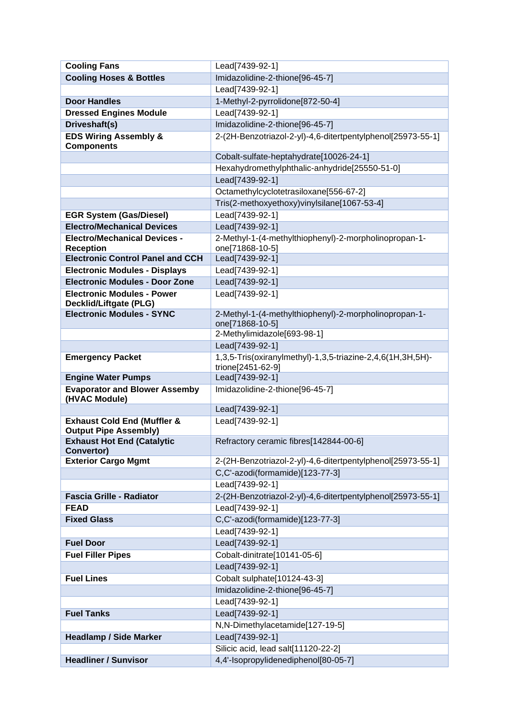| <b>Cooling Fans</b>                                                    | Lead[7439-92-1]                                             |
|------------------------------------------------------------------------|-------------------------------------------------------------|
| <b>Cooling Hoses &amp; Bottles</b>                                     | Imidazolidine-2-thione[96-45-7]                             |
|                                                                        | Lead[7439-92-1]                                             |
| <b>Door Handles</b>                                                    | 1-Methyl-2-pyrrolidone[872-50-4]                            |
| <b>Dressed Engines Module</b>                                          | Lead[7439-92-1]                                             |
| Driveshaft(s)                                                          | Imidazolidine-2-thione[96-45-7]                             |
| <b>EDS Wiring Assembly &amp;</b>                                       | 2-(2H-Benzotriazol-2-yl)-4,6-ditertpentylphenol[25973-55-1] |
| <b>Components</b>                                                      |                                                             |
|                                                                        | Cobalt-sulfate-heptahydrate[10026-24-1]                     |
|                                                                        | Hexahydromethylphthalic-anhydride[25550-51-0]               |
|                                                                        | Lead[7439-92-1]                                             |
|                                                                        | Octamethylcyclotetrasiloxane[556-67-2]                      |
|                                                                        | Tris(2-methoxyethoxy)vinylsilane[1067-53-4]                 |
| <b>EGR System (Gas/Diesel)</b>                                         | Lead[7439-92-1]                                             |
| <b>Electro/Mechanical Devices</b>                                      | Lead[7439-92-1]                                             |
| <b>Electro/Mechanical Devices -</b>                                    | 2-Methyl-1-(4-methylthiophenyl)-2-morpholinopropan-1-       |
| <b>Reception</b>                                                       | one[71868-10-5]                                             |
| <b>Electronic Control Panel and CCH</b>                                | Lead[7439-92-1]                                             |
| <b>Electronic Modules - Displays</b>                                   | Lead[7439-92-1]                                             |
| <b>Electronic Modules - Door Zone</b>                                  | Lead[7439-92-1]                                             |
| <b>Electronic Modules - Power</b>                                      | Lead[7439-92-1]                                             |
| Decklid/Liftgate (PLG)<br><b>Electronic Modules - SYNC</b>             | 2-Methyl-1-(4-methylthiophenyl)-2-morpholinopropan-1-       |
|                                                                        | one[71868-10-5]                                             |
|                                                                        | 2-Methylimidazole[693-98-1]                                 |
|                                                                        | Lead[7439-92-1]                                             |
| <b>Emergency Packet</b>                                                | 1,3,5-Tris(oxiranylmethyl)-1,3,5-triazine-2,4,6(1H,3H,5H)-  |
|                                                                        | trione[2451-62-9]                                           |
| <b>Engine Water Pumps</b>                                              | Lead[7439-92-1]                                             |
| <b>Evaporator and Blower Assemby</b>                                   | Imidazolidine-2-thione[96-45-7]                             |
| (HVAC Module)                                                          |                                                             |
|                                                                        | Lead[7439-92-1]                                             |
| <b>Exhaust Cold End (Muffler &amp;</b><br><b>Output Pipe Assembly)</b> | Lead[7439-92-1]                                             |
| <b>Exhaust Hot End (Catalytic</b>                                      | Refractory ceramic fibres[142844-00-6]                      |
| Convertor)                                                             |                                                             |
| <b>Exterior Cargo Mgmt</b>                                             | 2-(2H-Benzotriazol-2-yl)-4,6-ditertpentylphenol[25973-55-1] |
|                                                                        | C,C'-azodi(formamide)[123-77-3]                             |
|                                                                        | Lead[7439-92-1]                                             |
| <b>Fascia Grille - Radiator</b>                                        | 2-(2H-Benzotriazol-2-yl)-4,6-ditertpentylphenol[25973-55-1] |
| <b>FEAD</b>                                                            | Lead[7439-92-1]                                             |
| <b>Fixed Glass</b>                                                     | C,C'-azodi(formamide)[123-77-3]                             |
|                                                                        | Lead[7439-92-1]                                             |
| <b>Fuel Door</b>                                                       | Lead[7439-92-1]                                             |
| <b>Fuel Filler Pipes</b>                                               | Cobalt-dinitrate[10141-05-6]                                |
|                                                                        | Lead[7439-92-1]                                             |
| <b>Fuel Lines</b>                                                      | Cobalt sulphate[10124-43-3]                                 |
|                                                                        | Imidazolidine-2-thione[96-45-7]                             |
|                                                                        | Lead[7439-92-1]                                             |
| <b>Fuel Tanks</b>                                                      | Lead[7439-92-1]                                             |
|                                                                        | N,N-Dimethylacetamide[127-19-5]                             |
| <b>Headlamp / Side Marker</b>                                          | Lead[7439-92-1]                                             |
|                                                                        | Silicic acid, lead salt[11120-22-2]                         |
| <b>Headliner / Sunvisor</b>                                            | 4,4'-Isopropylidenediphenol[80-05-7]                        |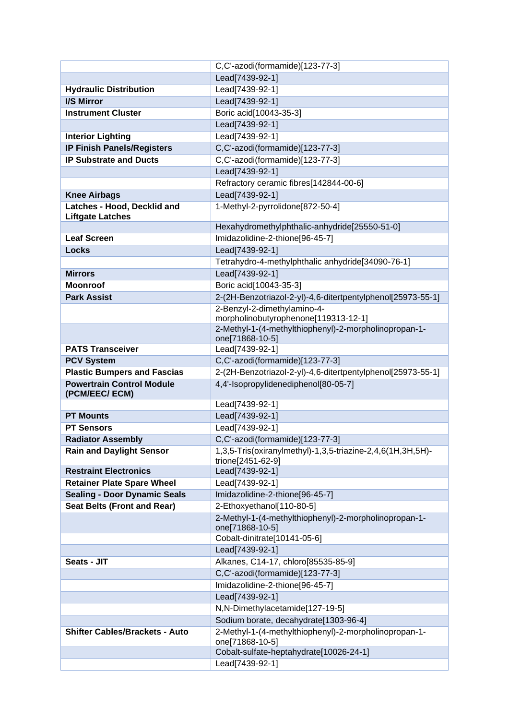|                                                             | C,C'-azodi(formamide)[123-77-3]                                          |
|-------------------------------------------------------------|--------------------------------------------------------------------------|
|                                                             | Lead[7439-92-1]                                                          |
| <b>Hydraulic Distribution</b>                               | Lead[7439-92-1]                                                          |
| I/S Mirror                                                  | Lead[7439-92-1]                                                          |
| <b>Instrument Cluster</b>                                   | Boric acid[10043-35-3]                                                   |
|                                                             | Lead[7439-92-1]                                                          |
| <b>Interior Lighting</b>                                    | Lead[7439-92-1]                                                          |
| <b>IP Finish Panels/Registers</b>                           | C,C'-azodi(formamide)[123-77-3]                                          |
| <b>IP Substrate and Ducts</b>                               | C,C'-azodi(formamide)[123-77-3]                                          |
|                                                             | Lead[7439-92-1]                                                          |
|                                                             | Refractory ceramic fibres[142844-00-6]                                   |
| <b>Knee Airbags</b>                                         | Lead[7439-92-1]                                                          |
| Latches - Hood, Decklid and                                 | 1-Methyl-2-pyrrolidone[872-50-4]                                         |
| <b>Liftgate Latches</b>                                     |                                                                          |
|                                                             | Hexahydromethylphthalic-anhydride[25550-51-0]                            |
| <b>Leaf Screen</b>                                          | Imidazolidine-2-thione[96-45-7]                                          |
| <b>Locks</b>                                                | Lead[7439-92-1]                                                          |
|                                                             | Tetrahydro-4-methylphthalic anhydride[34090-76-1]                        |
| <b>Mirrors</b>                                              | Lead[7439-92-1]                                                          |
| <b>Moonroof</b>                                             | Boric acid[10043-35-3]                                                   |
| <b>Park Assist</b>                                          | 2-(2H-Benzotriazol-2-yl)-4,6-ditertpentylphenol[25973-55-1]              |
|                                                             | 2-Benzyl-2-dimethylamino-4-<br>morpholinobutyrophenone[119313-12-1]      |
|                                                             | 2-Methyl-1-(4-methylthiophenyl)-2-morpholinopropan-1-                    |
|                                                             | one[71868-10-5]                                                          |
| <b>PATS Transceiver</b>                                     | Lead[7439-92-1]                                                          |
| <b>PCV System</b>                                           | C,C'-azodi(formamide)[123-77-3]                                          |
| <b>Plastic Bumpers and Fascias</b>                          | 2-(2H-Benzotriazol-2-yl)-4,6-ditertpentylphenol[25973-55-1]              |
| <b>Powertrain Control Module</b>                            | 4,4'-Isopropylidenediphenol[80-05-7]                                     |
| (PCM/EEC/ECM)                                               |                                                                          |
|                                                             | Lead[7439-92-1]                                                          |
| <b>PT Mounts</b>                                            | Lead[7439-92-1]<br>Lead[7439-92-1]                                       |
| <b>PT Sensors</b>                                           | C,C'-azodi(formamide)[123-77-3]                                          |
| <b>Radiator Assembly</b><br><b>Rain and Daylight Sensor</b> | 1,3,5-Tris(oxiranylmethyl)-1,3,5-triazine-2,4,6(1H,3H,5H)-               |
|                                                             | trione[2451-62-9]                                                        |
| <b>Restraint Electronics</b>                                | Lead[7439-92-1]                                                          |
| <b>Retainer Plate Spare Wheel</b>                           | Lead[7439-92-1]                                                          |
| <b>Sealing - Door Dynamic Seals</b>                         | Imidazolidine-2-thione[96-45-7]                                          |
| <b>Seat Belts (Front and Rear)</b>                          | 2-Ethoxyethanol[110-80-5]                                                |
|                                                             | 2-Methyl-1-(4-methylthiophenyl)-2-morpholinopropan-1-                    |
|                                                             | one[71868-10-5]                                                          |
|                                                             | Cobalt-dinitrate[10141-05-6]                                             |
|                                                             | Lead[7439-92-1]                                                          |
| Seats - JIT                                                 | Alkanes, C14-17, chloro[85535-85-9]                                      |
|                                                             | C,C'-azodi(formamide)[123-77-3]                                          |
|                                                             | Imidazolidine-2-thione[96-45-7]                                          |
|                                                             | Lead[7439-92-1]                                                          |
|                                                             | N,N-Dimethylacetamide[127-19-5]                                          |
|                                                             | Sodium borate, decahydrate[1303-96-4]                                    |
| <b>Shifter Cables/Brackets - Auto</b>                       | 2-Methyl-1-(4-methylthiophenyl)-2-morpholinopropan-1-<br>one[71868-10-5] |
|                                                             | Cobalt-sulfate-heptahydrate[10026-24-1]                                  |
|                                                             | Lead[7439-92-1]                                                          |